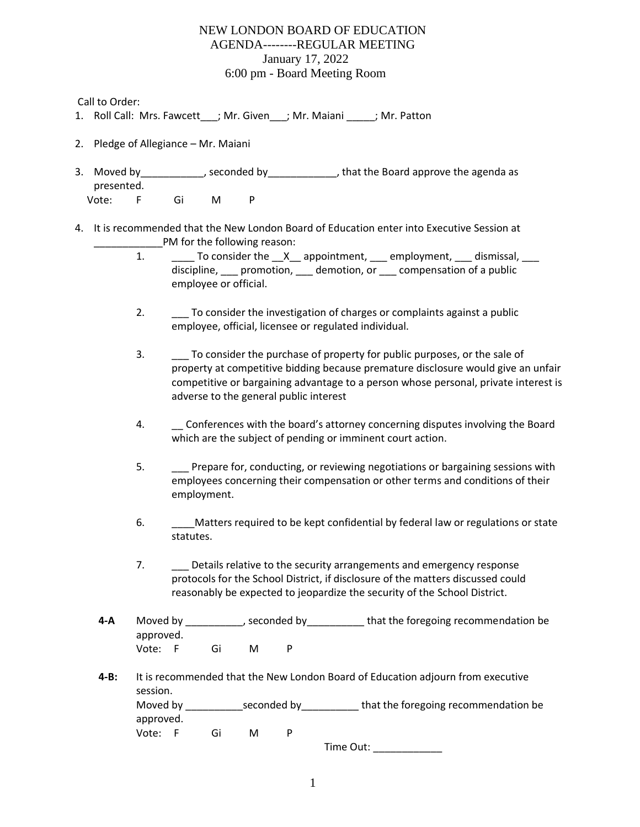## NEW LONDON BOARD OF EDUCATION AGENDA--------REGULAR MEETING January 17, 2022 6:00 pm - Board Meeting Room

Call to Order:

- 1. Roll Call: Mrs. Fawcett ; Mr. Given ; Mr. Maiani ; Mr. Patton
- 2. Pledge of Allegiance Mr. Maiani
- 3. Moved by example by seconded by that the Board approve the agenda as presented. Vote: F Gi M P
- 4. It is recommended that the New London Board of Education enter into Executive Session at PM for the following reason:
	- 1. \_\_\_\_\_\_ To consider the \_\_X\_\_ appointment, \_\_\_ employment, \_\_\_ dismissal, \_\_\_ discipline, promotion, demotion, or compensation of a public employee or official.
	- 2. \_\_\_ To consider the investigation of charges or complaints against a public employee, official, licensee or regulated individual.
	- 3. \_\_\_ To consider the purchase of property for public purposes, or the sale of property at competitive bidding because premature disclosure would give an unfair competitive or bargaining advantage to a person whose personal, private interest is adverse to the general public interest
	- 4. \_\_ Conferences with the board's attorney concerning disputes involving the Board which are the subject of pending or imminent court action.
	- 5. \_\_\_ Prepare for, conducting, or reviewing negotiations or bargaining sessions with employees concerning their compensation or other terms and conditions of their employment.
	- 6. **Concerned Matters required to be kept confidential by federal law or regulations or state** statutes.
	- 7. \_\_\_ Details relative to the security arrangements and emergency response protocols for the School District, if disclosure of the matters discussed could reasonably be expected to jeopardize the security of the School District.
	- **4-A** Moved by that the foregoing recommendation be that the foregoing recommendation be approved. Vote: F Gi M P
	- **4-B:** It is recommended that the New London Board of Education adjourn from executive session. Moved by \_\_\_\_\_\_\_\_\_\_\_\_\_seconded by\_\_\_\_\_\_\_\_\_\_\_\_ that the foregoing recommendation be approved. Vote: F Gi M P

Time Out: \_\_\_\_\_\_\_\_\_\_\_\_